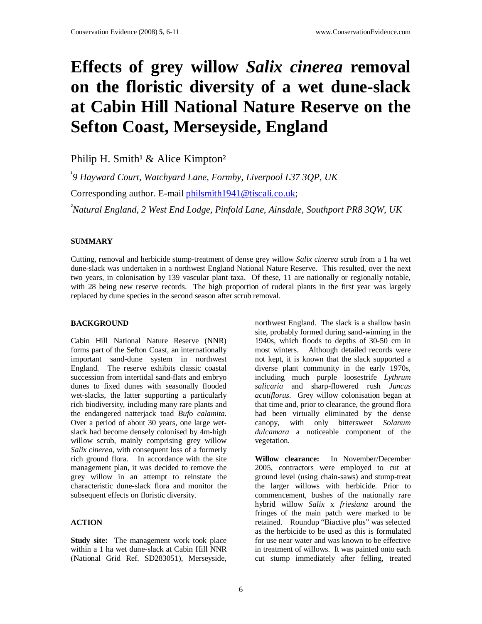# **Effects of grey willow** *Salix cinerea* **removal on the floristic diversity of a wet dune-slack at Cabin Hill National Nature Reserve on the Sefton Coast, Merseyside, England**

Philip H. Smith<sup>1</sup> & Alice Kimpton<sup>2</sup>

<sup>1</sup>9 Hayward Court, Watchyard Lane, Formby, Liverpool L37 3QP, UK Corresponding author. E-mail philsmith1941@tiscali.co.uk;

*<sup>²</sup>Natural England, 2 West End Lodge, Pinfold Lane, Ainsdale, Southport PR8 3QW, UK* 

#### **SUMMARY**

Cutting, removal and herbicide stump-treatment of dense grey willow *Salix cinerea* scrub from a 1 ha wet dune-slack was undertaken in a northwest England National Nature Reserve. This resulted, over the next two years, in colonisation by 139 vascular plant taxa. Of these, 11 are nationally or regionally notable, with 28 being new reserve records. The high proportion of ruderal plants in the first year was largely replaced by dune species in the second season after scrub removal.

#### **BACKGROUND**

Cabin Hill National Nature Reserve (NNR) forms part of the Sefton Coast, an internationally important sand-dune system in northwest England. The reserve exhibits classic coastal succession from intertidal sand-flats and embryo dunes to fixed dunes with seasonally flooded wet-slacks, the latter supporting a particularly rich biodiversity, including many rare plants and the endangered natterjack toad *Bufo calamita.* Over a period of about 30 years, one large wetslack had become densely colonised by 4m-high willow scrub, mainly comprising grey willow *Salix cinerea*, with consequent loss of a formerly rich ground flora*.* In accordance with the site management plan, it was decided to remove the grey willow in an attempt to reinstate the characteristic dune-slack flora and monitor the subsequent effects on floristic diversity.

#### **ACTION**

**Study site:** The management work took place within a 1 ha wet dune-slack at Cabin Hill NNR (National Grid Ref. SD283051), Merseyside,

northwest England. The slack is a shallow basin site, probably formed during sand-winning in the 1940s, which floods to depths of 30-50 cm in most winters. Although detailed records were not kept, it is known that the slack supported a diverse plant community in the early 1970s, including much purple loosestrife *Lythrum salicaria* and sharp-flowered rush *Juncus acutiflorus*. Grey willow colonisation began at that time and, prior to clearance, the ground flora had been virtually eliminated by the dense canopy, with only bittersweet *Solanum dulcamara* a noticeable component of the vegetation.

**Willow clearance:** In November/December 2005, contractors were employed to cut at ground level (using chain-saws) and stump-treat the larger willows with herbicide. Prior to commencement, bushes of the nationally rare hybrid willow *Salix* x *friesiana* around the fringes of the main patch were marked to be retained. Roundup "Biactive plus" was selected as the herbicide to be used as this is formulated for use near water and was known to be effective in treatment of willows. It was painted onto each cut stump immediately after felling, treated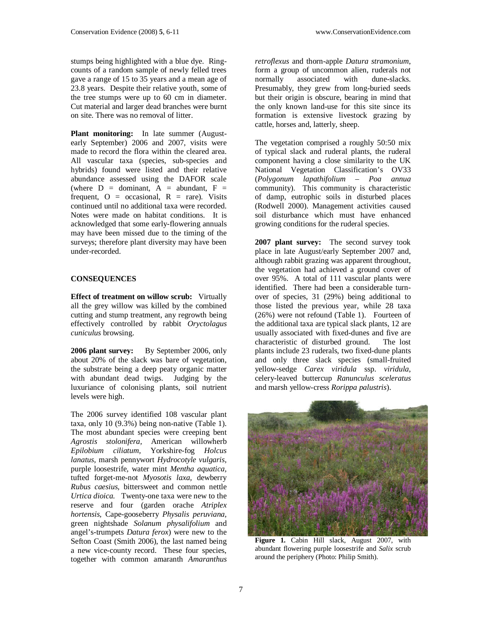stumps being highlighted with a blue dye. Ringcounts of a random sample of newly felled trees gave a range of 15 to 35 years and a mean age of 23.8 years. Despite their relative youth, some of the tree stumps were up to 60 cm in diameter. Cut material and larger dead branches were burnt on site. There was no removal of litter.

**Plant monitoring:** In late summer (Augustearly September) 2006 and 2007, visits were made to record the flora within the cleared area. All vascular taxa (species, sub-species and hybrids) found were listed and their relative abundance assessed using the DAFOR scale (where  $D =$  dominant,  $A =$  abundant,  $F =$ frequent,  $O = \alpha$  occasional,  $R = \text{rare}$ . Visits continued until no additional taxa were recorded. Notes were made on habitat conditions. It is acknowledged that some early-flowering annuals may have been missed due to the timing of the surveys; therefore plant diversity may have been under-recorded.

### **CONSEQUENCES**

**Effect of treatment on willow scrub:** Virtually all the grey willow was killed by the combined cutting and stump treatment, any regrowth being effectively controlled by rabbit *Oryctolagus cuniculus* browsing.

**2006 plant survey:** By September 2006, only about 20% of the slack was bare of vegetation, the substrate being a deep peaty organic matter with abundant dead twigs. Judging by the luxuriance of colonising plants, soil nutrient levels were high.

The 2006 survey identified 108 vascular plant taxa, only 10 (9.3%) being non-native (Table 1). The most abundant species were creeping bent *Agrostis stolonifera,* American willowherb *Epilobium ciliatum,* Yorkshire-fog *Holcus lanatus,* marsh pennywort *Hydrocotyle vulgaris,*  purple loosestrife*,* water mint *Mentha aquatica,*  tufted forget-me-not *Myosotis laxa,* dewberry *Rubus caesius,* bittersweet and common nettle *Urtica dioica.* Twenty-one taxa were new to the reserve and four (garden orache *Atriplex hortensis,* Cape-gooseberry *Physalis peruviana,*  green nightshade *Solanum physalifolium* and angel's-trumpets *Datura ferox*) were new to the Sefton Coast (Smith 2006), the last named being a new vice-county record. These four species, together with common amaranth *Amaranthus* 

*retroflexus* and thorn-apple *Datura stramonium*, form a group of uncommon alien, ruderals not normally associated with dune-slacks. Presumably, they grew from long-buried seeds but their origin is obscure, bearing in mind that the only known land-use for this site since its formation is extensive livestock grazing by cattle, horses and, latterly, sheep.

The vegetation comprised a roughly 50:50 mix of typical slack and ruderal plants, the ruderal component having a close similarity to the UK National Vegetation Classification's OV33 (*Polygonum lapathifolium – Poa annua*  community). This community is characteristic of damp, eutrophic soils in disturbed places (Rodwell 2000). Management activities caused soil disturbance which must have enhanced growing conditions for the ruderal species.

**2007 plant survey:** The second survey took place in late August/early September 2007 and, although rabbit grazing was apparent throughout, the vegetation had achieved a ground cover of over 95%. A total of 111 vascular plants were identified. There had been a considerable turnover of species, 31 (29%) being additional to those listed the previous year, while 28 taxa (26%) were not refound (Table 1). Fourteen of the additional taxa are typical slack plants, 12 are usually associated with fixed-dunes and five are characteristic of disturbed ground. The lost plants include 23 ruderals, two fixed-dune plants and only three slack species (small-fruited yellow-sedge *Carex viridula* ssp. *viridula*, celery-leaved buttercup *Ranunculus sceleratus*  and marsh yellow-cress *Rorippa palustris*).



**Figure 1.** Cabin Hill slack, August 2007, with abundant flowering purple loosestrife and *Salix* scrub around the periphery (Photo: Philip Smith).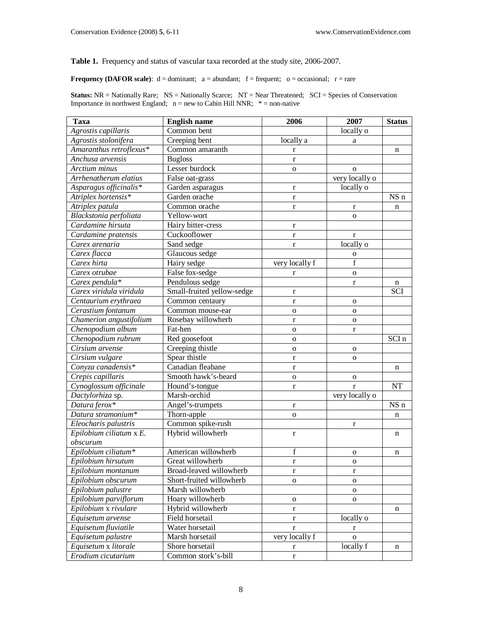**Table 1.** Frequency and status of vascular taxa recorded at the study site, 2006-2007.

**Frequency (DAFOR scale):**  $d =$  dominant;  $a =$  abundant;  $f =$  frequent;  $o =$  occasional;  $r =$  rare

**Status:** NR = Nationally Rare; NS = Nationally Scarce; NT = Near Threatened; SCI = Species of Conservation Importance in northwest England;  $n = new to Cabin Hill NNR; * = non-native$ 

| <b>Taxa</b>             | <b>English name</b>        | 2006           | 2007           | <b>Status</b>   |
|-------------------------|----------------------------|----------------|----------------|-----------------|
| Agrostis capillaris     | Common bent                |                | locally o      |                 |
| Agrostis stolonifera    | Creeping bent              | locally a      | a              |                 |
| Amaranthus retroflexus* | Common amaranth            | $\bf r$        |                | n               |
| Anchusa arvensis        | <b>Bugloss</b>             | $\bf r$        |                |                 |
| Arctium minus           | Lesser burdock             | $\mathbf{O}$   | $\mathbf{O}$   |                 |
| Arrhenatherum elatius   | False oat-grass            |                | very locally o |                 |
| Asparagus officinalis*  | Garden asparagus           | $\bf r$        | locally o      |                 |
| Atriplex hortensis*     | Garden orache              | $\bf r$        |                | NS <sub>n</sub> |
| Atriplex patula         | Common orache              | $\bf r$        | $\mathbf{r}$   | n               |
| Blackstonia perfoliata  | Yellow-wort                |                | $\mathbf{O}$   |                 |
| Cardamine hirsuta       | Hairy bitter-cress         | $\bf r$        |                |                 |
| Cardamine pratensis     | Cuckooflower               | $\bf r$        | r              |                 |
| Carex arenaria          | Sand sedge                 | $\bf r$        | locally o      |                 |
| Carex flacca            | Glaucous sedge             |                | $\mathbf O$    |                 |
| Carex hirta             | Hairy sedge                | very locally f | $\mathbf f$    |                 |
| Carex otrubae           | False fox-sedge            | r              | $\mathbf{o}$   |                 |
| Carex pendula*          | Pendulous sedge            |                | $\mathbf r$    | n               |
| Carex viridula viridula | Small-fruited yellow-sedge | $\bf r$        |                | SCI             |
| Centaurium erythraea    | Common centaury            | $\bf r$        | $\mathbf{o}$   |                 |
| Cerastium fontanum      | Common mouse-ear           | $\mathbf{o}$   | $\mathbf{o}$   |                 |
| Chamerion angustifolium | Rosebay willowherb         | $\bf r$        | ${\bf O}$      |                 |
| Chenopodium album       | Fat-hen                    | $\mathbf{o}$   | $\mathbf r$    |                 |
| Chenopodium rubrum      | Red goosefoot              | $\mathbf{O}$   |                | SCI n           |
| Cirsium arvense         | Creeping thistle           | $\mathbf{o}$   | $\mathbf{o}$   |                 |
| Cirsium vulgare         | Spear thistle              | $\bf r$        | $\mathbf{o}$   |                 |
| Conyza canadensis*      | Canadian fleabane          | $\mathbf r$    |                | n               |
| Crepis capillaris       | Smooth hawk's-beard        | $\mathbf{o}$   | $\mathbf{o}$   |                 |
| Cynoglossum officinale  | Hound's-tongue             | $\bf r$        | $\mathbf{r}$   | NT              |
| Dactylorhiza sp.        | Marsh-orchid               |                | very locally o |                 |
| Datura ferox*           | Angel's-trumpets           | $\bf r$        |                | NS n            |
| Datura stramonium*      | Thorn-apple                | $\mathbf{o}$   |                | n               |
| Eleocharis palustris    | Common spike-rush          |                | r              |                 |
| Epilobium ciliatum x E. | Hybrid willowherb          | $\mathbf r$    |                | n               |
| obscurum                |                            |                |                |                 |
| Epilobium ciliatum*     | American willowherb        | f              | $\mathbf 0$    | n               |
| Epilobium hirsutum      | Great willowherb           | $\mathbf r$    | $\mathbf 0$    |                 |
| Epilobium montanum      | Broad-leaved willowherb    | r              | r              |                 |
| Epilobium obscurum      | Short-fruited willowherb   | $\mathbf{o}$   | $\mathbf 0$    |                 |
| Epilobium palustre      | Marsh willowherb           |                | $\mathbf 0$    |                 |
| Epilobium parviflorum   | Hoary willowherb           | $\mathbf{o}$   | $\mathbf 0$    |                 |
| Epilobium x rivulare    | Hybrid willowherb          | $\bf r$        |                | n               |
| Equisetum arvense       | Field horsetail            | $\mathbf r$    | locally o      |                 |
| Equisetum fluviatile    | Water horsetail            | $\bf r$        | r              |                 |
| Equisetum palustre      | Marsh horsetail            | very locally f | $\mathbf 0$    |                 |
| Equisetum x litorale    | Shore horsetail            | r              | locally f      | n               |
| Erodium cicutarium      | Common stork's-bill        | $\mathbf r$    |                |                 |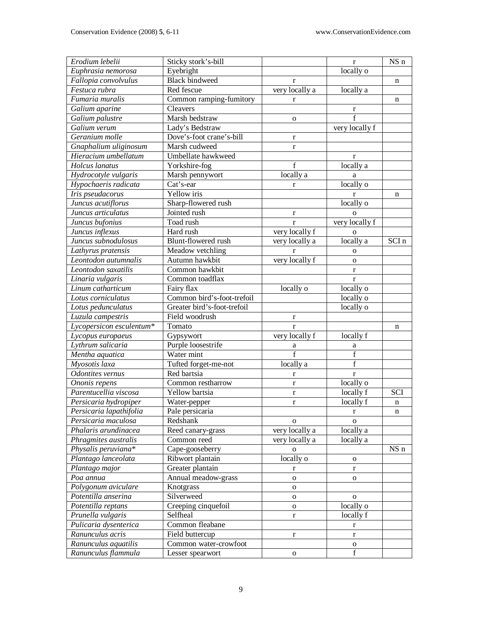| Erodium lebelii          | Sticky stork's-bill         |                | $\bf r$                                | NS n  |
|--------------------------|-----------------------------|----------------|----------------------------------------|-------|
| Euphrasia nemorosa       | Eyebright                   |                | locally o                              |       |
| Fallopia convolvulus     | <b>Black bindweed</b>       | $\bf r$        |                                        | n     |
| Festuca rubra            | Red fescue                  | very locally a | locally a                              |       |
| Fumaria muralis          | Common ramping-fumitory     | r              |                                        | n     |
| Galium aparine           | Cleavers                    |                | $\bf r$                                |       |
| Galium palustre          | Marsh bedstraw              | $\mathbf{O}$   | f                                      |       |
| Galium verum             | Lady's Bedstraw             |                | very locally f                         |       |
| Geranium molle           | Dove's-foot crane's-bill    | $\bf r$        |                                        |       |
| Gnaphalium uliginosum    | Marsh cudweed               | $\mathbf r$    |                                        |       |
| Hieracium umbellatum     | Umbellate hawkweed          |                | r                                      |       |
| Holcus lanatus           | Yorkshire-fog               | f              | locally a                              |       |
| Hydrocotyle vulgaris     | Marsh pennywort             | locally a      |                                        |       |
|                          | Cat's-ear                   |                | a<br>locally o                         |       |
| Hypochaeris radicata     | Yellow iris                 | $\mathbf r$    |                                        |       |
| Iris pseudacorus         |                             |                | r                                      | n     |
| Juncus acutiflorus       | Sharp-flowered rush         |                | locally o                              |       |
| Juncus articulatus       | Jointed rush                | $\bf r$        | $\Omega$                               |       |
| Juncus bufonius          | Toad rush                   | $\mathbf{r}$   | very locally f                         |       |
| Juncus inflexus          | Hard rush                   | very locally f | $\mathbf{O}$                           |       |
| Juncus subnodulosus      | Blunt-flowered rush         | very locally a | locally a                              | SCI n |
| Lathyrus pratensis       | Meadow vetchling            | $\mathbf{r}$   | $\mathbf{O}$                           |       |
| Leontodon autumnalis     | Autumn hawkbit              | very locally f | $\mathbf{o}$                           |       |
| Leontodon saxatilis      | Common hawkbit              |                | $\bf r$                                |       |
| Linaria vulgaris         | Common toadflax             |                | $\bf r$                                |       |
| Linum catharticum        | Fairy flax                  | locally o      | locally o                              |       |
| Lotus corniculatus       | Common bird's-foot-trefoil  |                | locally o                              |       |
| Lotus pedunculatus       | Greater bird's-foot-trefoil |                | locally o                              |       |
| Luzula campestris        | Field woodrush              | $\bf r$        |                                        |       |
| Lycopersicon esculentum* | Tomato                      | $\mathbf{r}$   |                                        | n     |
| Lycopus europaeus        | Gypsywort                   | very locally f | locally f                              |       |
| Lythrum salicaria        | Purple loosestrife          | a              | a                                      |       |
| Mentha aquatica          | Water mint                  | $\overline{f}$ | $\mathbf f$                            |       |
| Myosotis laxa            | Tufted forget-me-not        | locally a      | $\mathbf f$                            |       |
| Odontites vernus         | Red bartsia                 | $\mathbf r$    | $\mathbf r$                            |       |
| Ononis repens            | Common restharrow           | $\bf r$        | locally o                              |       |
| Parentucellia viscosa    | Yellow bartsia              | $\mathbf r$    | locally f                              | SCI   |
| Persicaria hydropiper    | Water-pepper                | $\mathbf r$    | locally f                              | n     |
| Persicaria lapathifolia  | Pale persicaria             |                | r                                      | n     |
| Persicaria maculosa      | Redshank                    | $\mathbf{O}$   | $\mathbf{O}$                           |       |
| Phalaris arundinacea     | Reed canary-grass           | very locally a | locally a                              |       |
| Phragmites australis     | Common reed                 | very locally a | locally a                              |       |
| Physalis peruviana*      | Cape-gooseberry             | $\mathbf{O}$   |                                        | NS n  |
| Plantago lanceolata      | Ribwort plantain            | locally o      | $\mathbf{O}$                           |       |
| Plantago major           | Greater plantain            | $\mathbf r$    | $\mathbf{r}$                           |       |
| Poa annua                | Annual meadow-grass         | $\mathbf{o}$   | $\mathbf{O}$                           |       |
| Polygonum aviculare      | Knotgrass                   | $\mathbf O$    |                                        |       |
| Potentilla anserina      | Silverweed                  | $\mathbf O$    | $\mathbf{O}$                           |       |
| Potentilla reptans       | Creeping cinquefoil         | ${\bf O}$      | locally o                              |       |
| Prunella vulgaris        | Selfheal                    | $\mathbf r$    | locally f                              |       |
| Pulicaria dysenterica    | Common fleabane             |                | $\mathbf r$                            |       |
| Ranunculus acris         | Field buttercup             |                | $\bf r$                                |       |
| Ranunculus aquatilis     | Common water-crowfoot       | $\mathbf{r}$   |                                        |       |
| Ranunculus flammula      | Lesser spearwort            | ${\bf O}$      | $\mathbf O$<br>$\overline{\mathrm{f}}$ |       |
|                          |                             |                |                                        |       |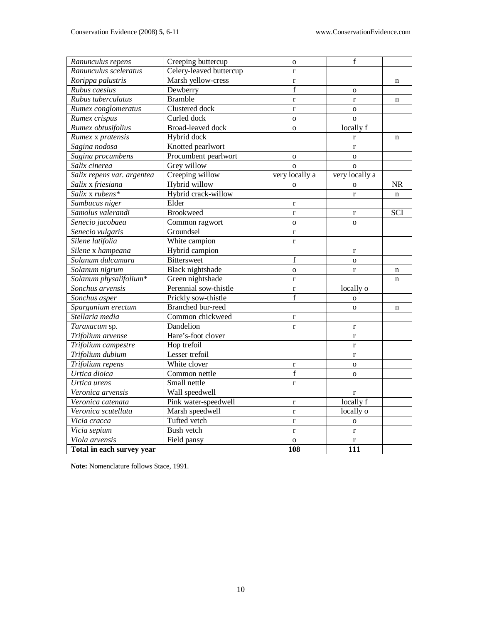| Ranunculus repens          | Creeping buttercup       | $\mathbf 0$    | f              |             |
|----------------------------|--------------------------|----------------|----------------|-------------|
| Ranunculus sceleratus      | Celery-leaved buttercup  | $\mathbf r$    |                |             |
| Rorippa palustris          | Marsh yellow-cress       | $\mathbf{r}$   |                | $\mathbf n$ |
| Rubus caesius              | Dewberry                 | $\mathbf f$    | $\mathbf{o}$   |             |
| Rubus tuberculatus         | <b>Bramble</b>           | $\mathbf{r}$   | $\bf r$        | n           |
| Rumex conglomeratus        | Clustered dock           | $\mathbf{r}$   | $\mathbf 0$    |             |
| Rumex crispus              | Curled dock              | $\overline{O}$ | $\overline{O}$ |             |
| Rumex obtusifolius         | <b>Broad-leaved dock</b> | $\overline{0}$ | locally f      |             |
| Rumex x pratensis          | Hybrid dock              |                | r              | n           |
| Sagina nodosa              | Knotted pearlwort        |                | $\bf r$        |             |
| Sagina procumbens          | Procumbent pearlwort     | $\mathbf{o}$   | $\mathbf{o}$   |             |
| Salix cinerea              | Grey willow              | $\overline{O}$ | $\overline{O}$ |             |
| Salix repens var. argentea | Creeping willow          | very locally a | very locally a |             |
| Salix x friesiana          | Hybrid willow            | $\mathbf{o}$   | $\mathbf{o}$   | <b>NR</b>   |
| Salix x rubens*            | Hybrid crack-willow      |                | r              | $\mathbf n$ |
| Sambucus niger             | Elder                    | $\bf r$        |                |             |
| Samolus valerandi          | <b>Brookweed</b>         | $\mathbf r$    | $\bf r$        | SCI         |
| Senecio jacobaea           | Common ragwort           | $\mathbf 0$    | $\mathbf{o}$   |             |
| Senecio vulgaris           | Groundsel                | $\bf r$        |                |             |
| Silene latifolia           | White campion            | $\mathbf{r}$   |                |             |
| Silene x hampeana          | Hybrid campion           |                | $\bf r$        |             |
| Solanum dulcamara          | <b>Bittersweet</b>       | f              | $\mathbf{o}$   |             |
| Solanum nigrum             | Black nightshade         | $\mathbf 0$    | $\mathbf{r}$   | n           |
| Solanum physalifolium*     | Green nightshade         | $\mathbf{r}$   |                | n           |
| Sonchus arvensis           | Perennial sow-thistle    | $\mathbf{r}$   | locally o      |             |
| Sonchus asper              | Prickly sow-thistle      | f              | $\mathbf O$    |             |
| Sparganium erectum         | Branched bur-reed        |                | $\mathbf{o}$   | n           |
| Stellaria media            | Common chickweed         | $\bf r$        |                |             |
| Taraxacum sp.              | Dandelion                | $\mathbf{r}$   | $\bf r$        |             |
| Trifolium arvense          | Hare's-foot clover       |                | $\bf r$        |             |
| Trifolium campestre        | Hop trefoil              |                | $\mathbf r$    |             |
| Trifolium dubium           | Lesser trefoil           |                | $\bf r$        |             |
| Trifolium repens           | White clover             | $\bf r$        | $\overline{O}$ |             |
| Urtica dioica              | Common nettle            | $\overline{f}$ | $\mathbf 0$    |             |
| Urtica urens               | Small nettle             | $\mathbf{r}$   |                |             |
| Veronica arvensis          | Wall speedwell           |                | $\bf r$        |             |
| Veronica catenata          | Pink water-speedwell     | $\mathbf r$    | locally f      |             |
| Veronica scutellata        | Marsh speedwell          | $\mathbf{r}$   | locally o      |             |
| Vicia cracca               | Tufted vetch             | $\mathbf r$    | $\mathbf{o}$   |             |
| Vicia sepium               | <b>Bush vetch</b>        | $\mathbf r$    | $\bf r$        |             |
| Viola arvensis             | Field pansy              | $\mathbf{o}$   | $\bf r$        |             |
| Total in each survey year  |                          | 108            | 111            |             |

**Note:** Nomenclature follows Stace, 1991.